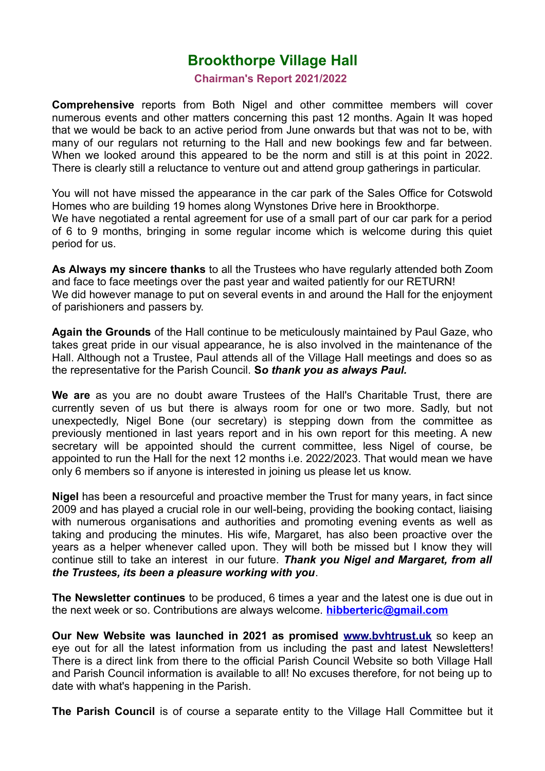## **Brookthorpe Village Hall**

**Chairman's Report 2021/2022**

**Comprehensive** reports from Both Nigel and other committee members will cover numerous events and other matters concerning this past 12 months. Again It was hoped that we would be back to an active period from June onwards but that was not to be, with many of our regulars not returning to the Hall and new bookings few and far between. When we looked around this appeared to be the norm and still is at this point in 2022. There is clearly still a reluctance to venture out and attend group gatherings in particular.

You will not have missed the appearance in the car park of the Sales Office for Cotswold Homes who are building 19 homes along Wynstones Drive here in Brookthorpe. We have negotiated a rental agreement for use of a small part of our car park for a period of 6 to 9 months, bringing in some regular income which is welcome during this quiet period for us.

**As Always my sincere thanks** to all the Trustees who have regularly attended both Zoom and face to face meetings over the past year and waited patiently for our RETURN! We did however manage to put on several events in and around the Hall for the enjoyment of parishioners and passers by.

**Again the Grounds** of the Hall continue to be meticulously maintained by Paul Gaze, who takes great pride in our visual appearance, he is also involved in the maintenance of the Hall. Although not a Trustee, Paul attends all of the Village Hall meetings and does so as the representative for the Parish Council. **S***o thank you as always Paul.*

**We are** as you are no doubt aware Trustees of the Hall's Charitable Trust, there are currently seven of us but there is always room for one or two more. Sadly, but not unexpectedly, Nigel Bone (our secretary) is stepping down from the committee as previously mentioned in last years report and in his own report for this meeting. A new secretary will be appointed should the current committee, less Nigel of course, be appointed to run the Hall for the next 12 months i.e. 2022/2023. That would mean we have only 6 members so if anyone is interested in joining us please let us know.

**Nigel** has been a resourceful and proactive member the Trust for many years, in fact since 2009 and has played a crucial role in our well-being, providing the booking contact, liaising with numerous organisations and authorities and promoting evening events as well as taking and producing the minutes. His wife, Margaret, has also been proactive over the years as a helper whenever called upon. They will both be missed but I know they will continue still to take an interest in our future. *Thank you Nigel and Margaret, from all the Trustees, its been a pleasure working with you*.

**The Newsletter continues** to be produced, 6 times a year and the latest one is due out in the next week or so. Contributions are always welcome. **hibberteric@gmail.com**

**Our New Website was launched in 2021 as promised [www.bvhtrust.uk](http://www.bvhtrust.uk/)** so keep an eye out for all the latest information from us including the past and latest Newsletters! There is a direct link from there to the official Parish Council Website so both Village Hall and Parish Council information is available to all! No excuses therefore, for not being up to date with what's happening in the Parish.

**The Parish Council** is of course a separate entity to the Village Hall Committee but it